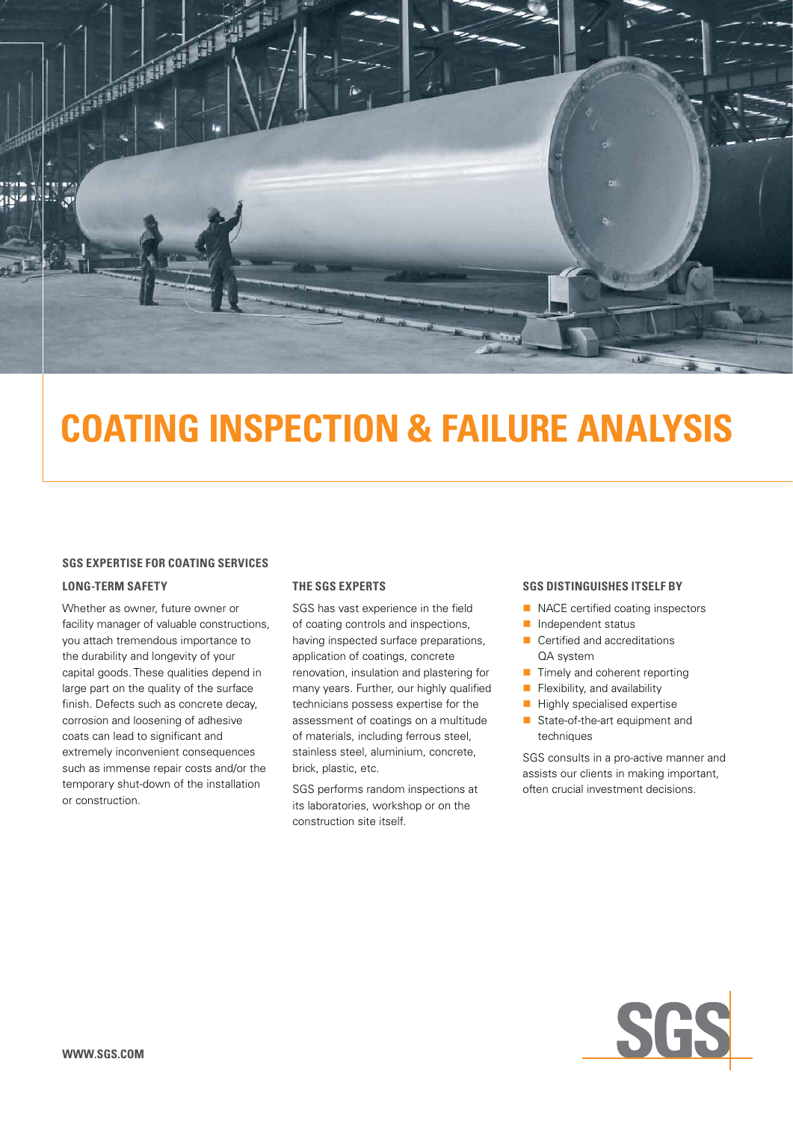

# **COATING INSPECTION & FAILURE ANALYSIS**

### **SGS EXPERTISE FOR COATING SERVICES**

### **Long-term safety**

Whether as owner, future owner or facility manager of valuable constructions, you attach tremendous importance to the durability and longevity of your capital goods. These qualities depend in large part on the quality of the surface finish. Defects such as concrete decay, corrosion and loosening of adhesive coats can lead to significant and extremely inconvenient consequences such as immense repair costs and/or the temporary shut-down of the installation or construction.

### **The SGS experts**

SGS has vast experience in the field of coating controls and inspections, having inspected surface preparations, application of coatings, concrete renovation, insulation and plastering for many years. Further, our highly qualified technicians possess expertise for the assessment of coatings on a multitude of materials, including ferrous steel, stainless steel, aluminium, concrete, brick, plastic, etc.

SGS performs random inspections at its laboratories, workshop or on the construction site itself.

#### **SGS distinguishes itself by**

- $\blacksquare$  NACE certified coating inspectors
- $\blacksquare$  Independent status
- $\blacksquare$  Certified and accreditations QA system
- $\blacksquare$  Timely and coherent reporting
- $\blacksquare$  Flexibility, and availability
- $\blacksquare$  Highly specialised expertise
- State-of-the-art equipment and techniques

SGS consults in a pro-active manner and assists our clients in making important, often crucial investment decisions.